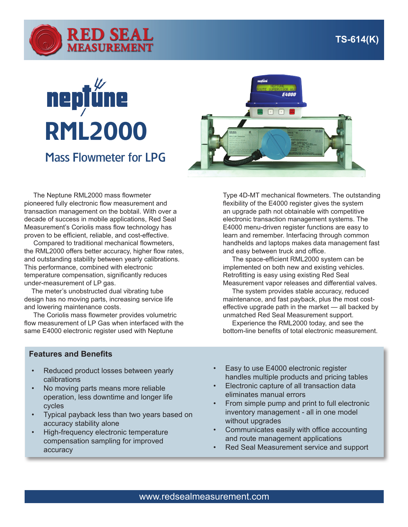

## **nepțůne** RML2000 Mass Flowmeter for LPG



 The Neptune RML2000 mass flowmeter pioneered fully electronic flow measurement and transaction management on the bobtail. With over a decade of success in mobile applications, Red Seal Measurement's Coriolis mass flow technology has proven to be efficient, reliable, and cost-effective.

 Compared to traditional mechanical flowmeters, the RML2000 offers better accuracy, higher flow rates, and outstanding stability between yearly calibrations. This performance, combined with electronic temperature compensation, significantly reduces under-measurement of LP gas.

 The meter's unobstructed dual vibrating tube design has no moving parts, increasing service life and lowering maintenance costs.

 The Coriolis mass flowmeter provides volumetric flow measurement of LP Gas when interfaced with the same E4000 electronic register used with Neptune

**Features and Benefits**

- Reduced product losses between yearly calibrations
- No moving parts means more reliable operation, less downtime and longer life cycles
- Typical payback less than two years based on accuracy stability alone
- High-frequency electronic temperature compensation sampling for improved accuracy

Type 4D-MT mechanical flowmeters. The outstanding flexibility of the E4000 register gives the system an upgrade path not obtainable with competitive electronic transaction management systems. The E4000 menu-driven register functions are easy to learn and remember. Interfacing through common handhelds and laptops makes data management fast and easy between truck and office.

 The space-efficient RML2000 system can be implemented on both new and existing vehicles. Retrofitting is easy using existing Red Seal Measurement vapor releases and differential valves.

 The system provides stable accuracy, reduced maintenance, and fast payback, plus the most costeffective upgrade path in the market — all backed by unmatched Red Seal Measurement support.

 Experience the RML2000 today, and see the bottom-line benefits of total electronic measurement.

- Easy to use E4000 electronic register handles multiple products and pricing tables
- Electronic capture of all transaction data eliminates manual errors
- From simple pump and print to full electronic inventory management - all in one model without upgrades
- Communicates easily with office accounting and route management applications
- Red Seal Measurement service and support